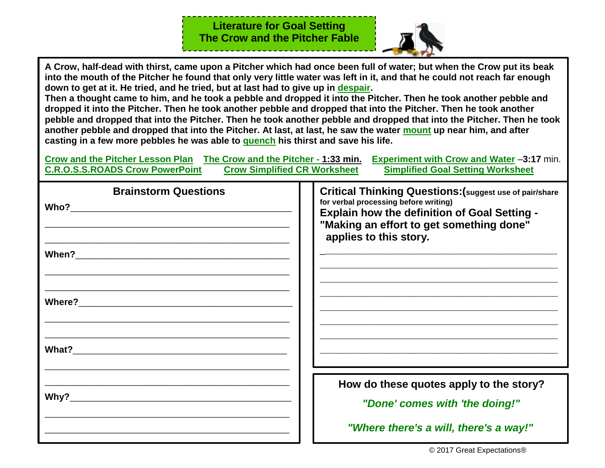**Literature for Goal Setting The Crow and the Pitcher Fable**



**A Crow, half-dead with thirst, came upon a Pitcher which had once been full of water; but when the Crow put its beak into the mouth of the Pitcher he found that only very little water was left in it, and that he could not reach far enough down to get at it. He tried, and he tried, but at last had to give up in [despair.](https://www.merriam-webster.com/dictionary/despair)**

**Then a thought came to him, and he took a pebble and dropped it into the Pitcher. Then he took another pebble and dropped it into the Pitcher. Then he took another pebble and dropped that into the Pitcher. Then he took another pebble and dropped that into the Pitcher. Then he took another pebble and dropped that into the Pitcher. Then he took another pebble and dropped that into the Pitcher. At last, at last, he saw the water [mount](https://www.merriam-webster.com/dictionary/mount) up near him, and after casting in a few more pebbles he was able to [quench](https://www.merriam-webster.com/dictionary/quench) his thirst and save his life.**

**[Crow and the Pitcher Lesson Plan](http://artsedge.kennedy-center.org/educators/lessons/grade-3-4/Counting_Crows#Preparation) [The Crow and the Pitcher -](https://www.youtube.com/watch?v=qp9PZTrOKf8) 1:33 min. [Experiment with Crow and Water](https://www.youtube.com/watch?v=ZerUbHmuY04)** –**3:17** min.

| <b>C.R.O.S.S.ROADS Crow PowerPoint</b> | <b>Crow Simplified CR Worksheet</b><br><b>Simplified Goal Setting Worksheet</b>                                                                                                                                                      |
|----------------------------------------|--------------------------------------------------------------------------------------------------------------------------------------------------------------------------------------------------------------------------------------|
| <b>Brainstorm Questions</b>            | <b>Critical Thinking Questions: (suggest use of pair/share</b><br>for verbal processing before writing)<br><b>Explain how the definition of Goal Setting -</b><br>"Making an effort to get something done"<br>applies to this story. |
|                                        |                                                                                                                                                                                                                                      |
|                                        |                                                                                                                                                                                                                                      |
|                                        |                                                                                                                                                                                                                                      |
|                                        | How do these quotes apply to the story?<br>"Done' comes with 'the doing!"                                                                                                                                                            |
|                                        | "Where there's a will, there's a way!"                                                                                                                                                                                               |